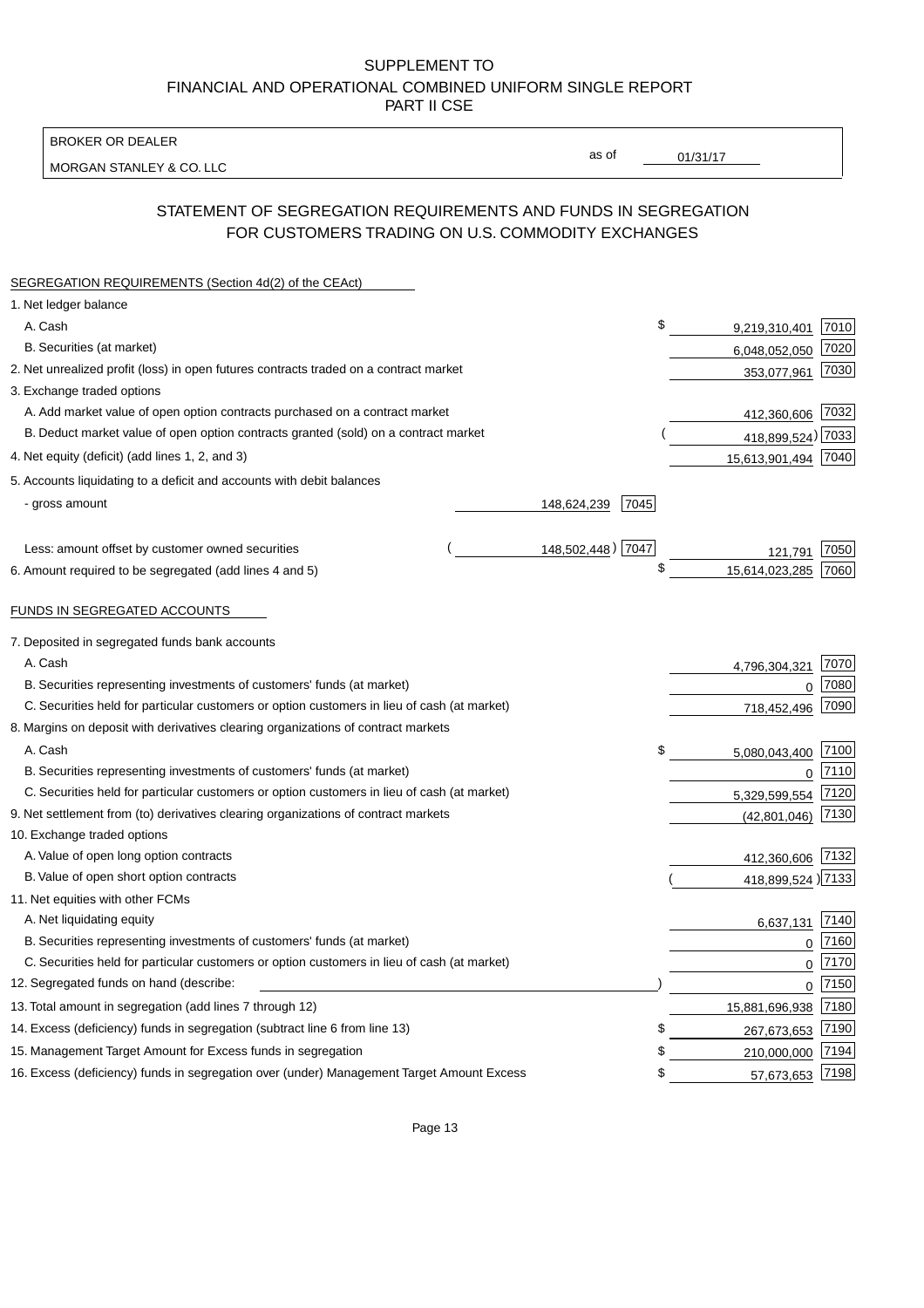BROKER OR DEALER

MORGAN STANLEY & CO. LLC

01/31/17

as of

# STATEMENT OF SEGREGATION REQUIREMENTS AND FUNDS IN SEGREGATION FOR CUSTOMERS TRADING ON U.S. COMMODITY EXCHANGES

| SEGREGATION REQUIREMENTS (Section 4d(2) of the CEAct)                                       |                     |                     |          |
|---------------------------------------------------------------------------------------------|---------------------|---------------------|----------|
| 1. Net ledger balance                                                                       |                     |                     |          |
| A. Cash                                                                                     | \$                  | 9,219,310,401       | 7010     |
| B. Securities (at market)                                                                   |                     | 6,048,052,050       | 7020     |
| 2. Net unrealized profit (loss) in open futures contracts traded on a contract market       |                     | 353,077,961         | 7030     |
| 3. Exchange traded options                                                                  |                     |                     |          |
| A. Add market value of open option contracts purchased on a contract market                 |                     | 412,360,606 7032    |          |
| B. Deduct market value of open option contracts granted (sold) on a contract market         |                     | 418,899,524) 7033   |          |
| 4. Net equity (deficit) (add lines 1, 2, and 3)                                             |                     | 15,613,901,494 7040 |          |
| 5. Accounts liquidating to a deficit and accounts with debit balances                       |                     |                     |          |
| - gross amount                                                                              | 7045<br>148,624,239 |                     |          |
|                                                                                             |                     |                     |          |
| Less: amount offset by customer owned securities                                            | 148,502,448) 7047   | 121,791             | 7050     |
| 6. Amount required to be segregated (add lines 4 and 5)                                     | \$                  | 15,614,023,285      | 7060     |
|                                                                                             |                     |                     |          |
| FUNDS IN SEGREGATED ACCOUNTS                                                                |                     |                     |          |
| 7. Deposited in segregated funds bank accounts                                              |                     |                     |          |
| A. Cash                                                                                     |                     | 4,796,304,321       | 7070     |
| B. Securities representing investments of customers' funds (at market)                      |                     | 0                   | 7080     |
| C. Securities held for particular customers or option customers in lieu of cash (at market) |                     | 718,452,496         | 7090     |
| 8. Margins on deposit with derivatives clearing organizations of contract markets           |                     |                     |          |
| A. Cash                                                                                     | \$                  | 5,080,043,400       | 7100     |
| B. Securities representing investments of customers' funds (at market)                      |                     | $\mathbf 0$         | 7110     |
| C. Securities held for particular customers or option customers in lieu of cash (at market) |                     | 5,329,599,554       | 7120     |
| 9. Net settlement from (to) derivatives clearing organizations of contract markets          |                     | (42, 801, 046)      | 7130     |
| 10. Exchange traded options                                                                 |                     |                     |          |
| A. Value of open long option contracts                                                      |                     | 412,360,606 7132    |          |
| B. Value of open short option contracts                                                     |                     | 418,899,524) 7133   |          |
| 11. Net equities with other FCMs                                                            |                     |                     |          |
| A. Net liquidating equity                                                                   |                     | 6,637,131           | 7140     |
| B. Securities representing investments of customers' funds (at market)                      |                     | $\mathbf 0$         | 7160     |
| C. Securities held for particular customers or option customers in lieu of cash (at market) |                     | $\mathbf 0$         | 7170     |
| 12. Segregated funds on hand (describe:                                                     |                     |                     | $0$ 7150 |
| 13. Total amount in segregation (add lines 7 through 12)                                    |                     | 15,881,696,938 7180 |          |
| 14. Excess (deficiency) funds in segregation (subtract line 6 from line 13)                 | \$                  | 267,673,653         | 7190     |
| 15. Management Target Amount for Excess funds in segregation                                | \$                  | 210,000,000         | 7194     |
| 16. Excess (deficiency) funds in segregation over (under) Management Target Amount Excess   | \$                  | 57,673,653 7198     |          |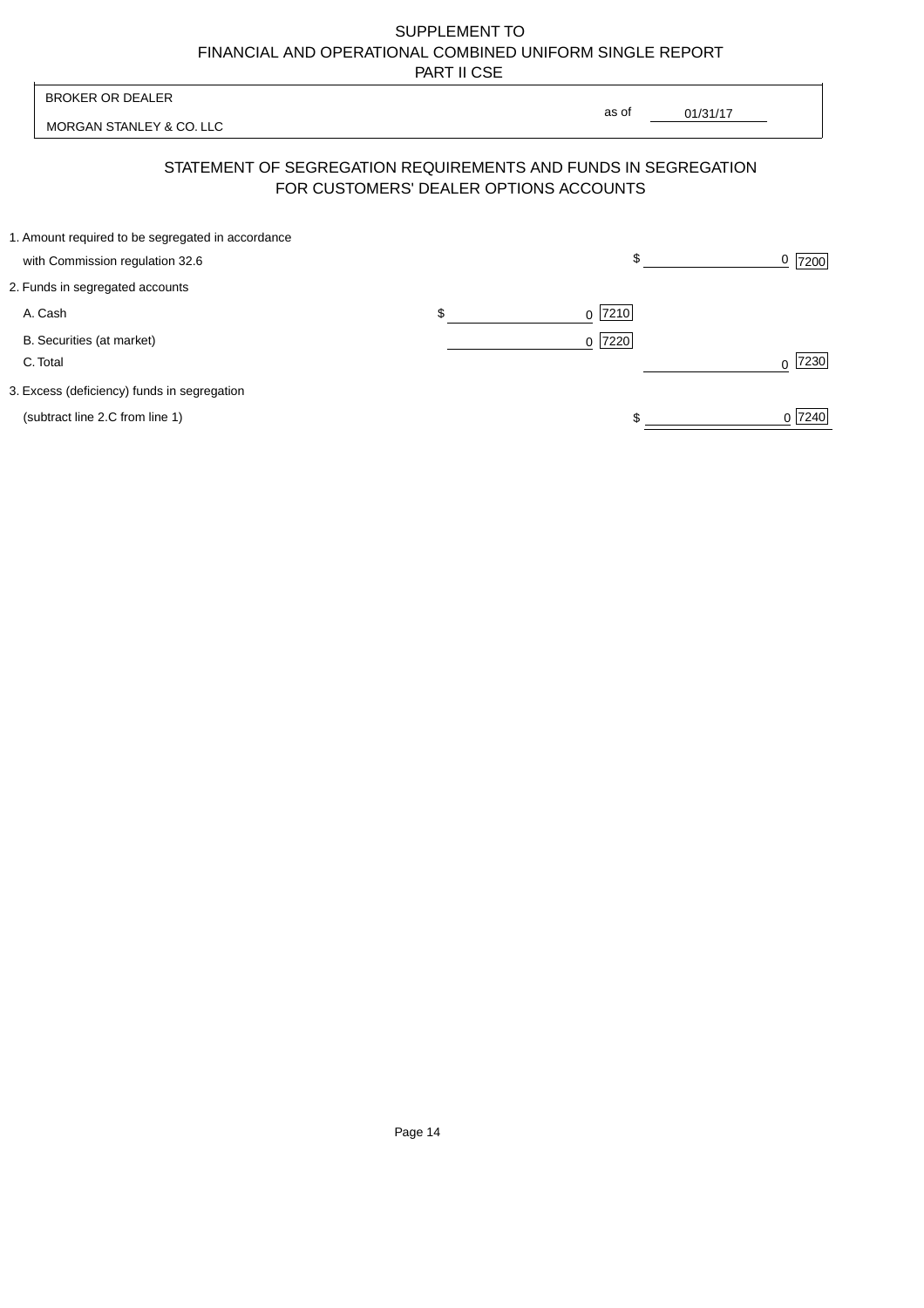MORGAN STANLEY & CO. LLC

01/31/17  $\overline{\phantom{a}}$ 

as of

# STATEMENT OF SEGREGATION REQUIREMENTS AND FUNDS IN SEGREGATION FOR CUSTOMERS' DEALER OPTIONS ACCOUNTS

| 1. Amount required to be segregated in accordance |           |        |
|---------------------------------------------------|-----------|--------|
| with Commission regulation 32.6                   | \$        | 7200   |
| 2. Funds in segregated accounts                   |           |        |
| A. Cash                                           | $0$  7210 |        |
| B. Securities (at market)                         | $0$  7220 |        |
| C. Total                                          |           | 7230   |
| 3. Excess (deficiency) funds in segregation       |           |        |
| (subtract line 2.C from line 1)                   |           | 0 7240 |
|                                                   |           |        |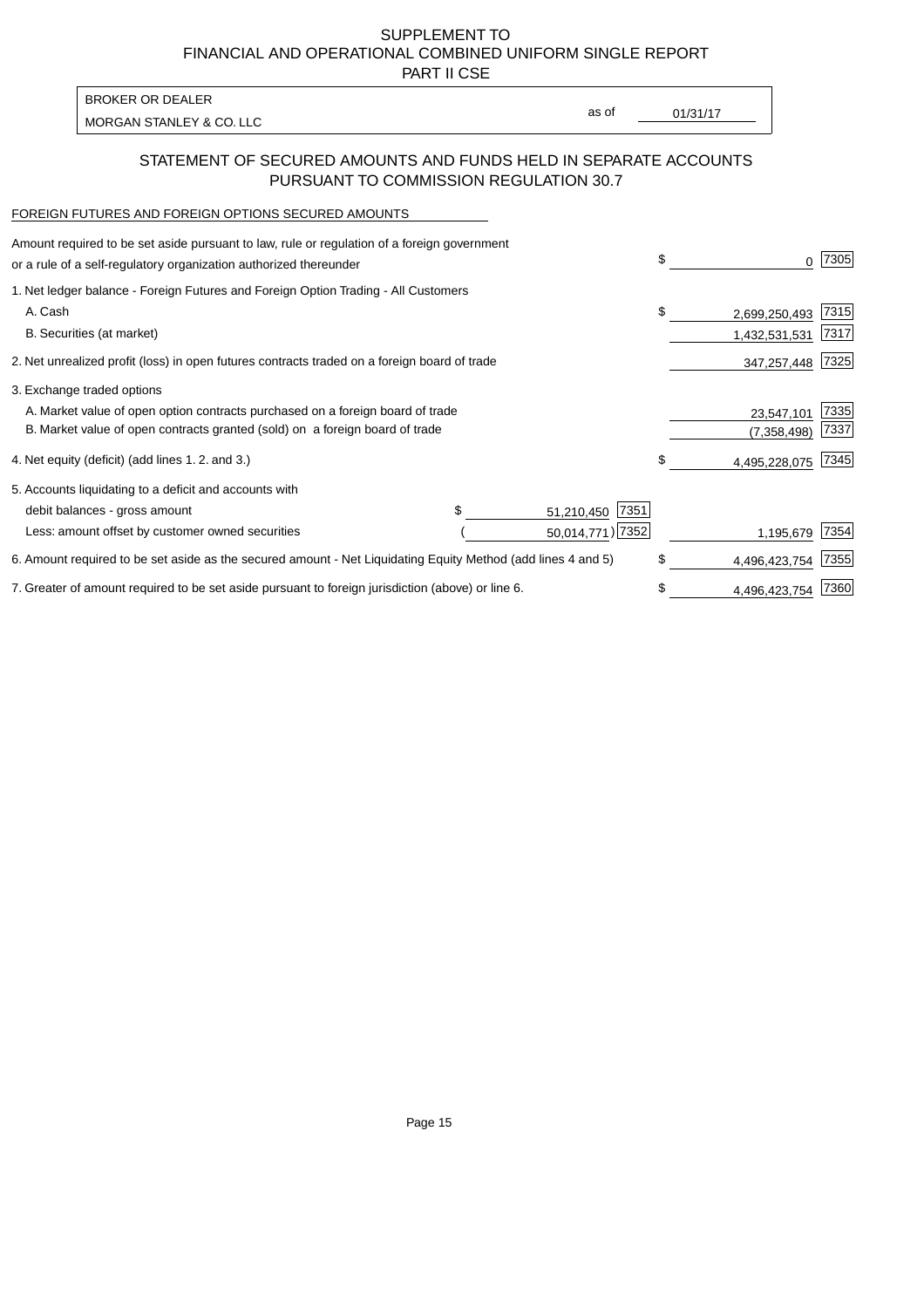PART II CSE

MORGAN STANLEY & CO. LLC and the contract of the contract of the contract of the contract of the contract of the contract of the contract of the contract of the contract of the contract of the contract of the contract of t BROKER OR DEALER

as of

### STATEMENT OF SECURED AMOUNTS AND FUNDS HELD IN SEPARATE ACCOUNTS PURSUANT TO COMMISSION REGULATION 30.7

#### FOREIGN FUTURES AND FOREIGN OPTIONS SECURED AMOUNTS

| Amount required to be set aside pursuant to law, rule or regulation of a foreign government<br>or a rule of a self-regulatory organization authorized thereunder |  |                    | \$   |               | 7305 |
|------------------------------------------------------------------------------------------------------------------------------------------------------------------|--|--------------------|------|---------------|------|
| 1. Net ledger balance - Foreign Futures and Foreign Option Trading - All Customers                                                                               |  |                    |      |               |      |
| A. Cash                                                                                                                                                          |  |                    | \$   | 2,699,250,493 | 7315 |
| B. Securities (at market)                                                                                                                                        |  |                    |      | 1,432,531,531 | 7317 |
| 2. Net unrealized profit (loss) in open futures contracts traded on a foreign board of trade                                                                     |  | 347,257,448        | 7325 |               |      |
| 3. Exchange traded options                                                                                                                                       |  |                    |      |               |      |
| A. Market value of open option contracts purchased on a foreign board of trade                                                                                   |  |                    |      | 23,547,101    | 7335 |
| B. Market value of open contracts granted (sold) on a foreign board of trade                                                                                     |  |                    |      | (7, 358, 498) | 7337 |
| 4. Net equity (deficit) (add lines 1.2. and 3.)                                                                                                                  |  |                    | \$.  | 4,495,228,075 | 7345 |
| 5. Accounts liquidating to a deficit and accounts with                                                                                                           |  |                    |      |               |      |
| debit balances - gross amount                                                                                                                                    |  | 7351<br>51,210,450 |      |               |      |
| Less: amount offset by customer owned securities                                                                                                                 |  | 50,014,771) 7352   |      | 1,195,679     | 7354 |
| 6. Amount required to be set aside as the secured amount - Net Liquidating Equity Method (add lines 4 and 5)                                                     |  |                    |      | 4,496,423,754 | 7355 |
| 7. Greater of amount required to be set aside pursuant to foreign jurisdiction (above) or line 6.                                                                |  |                    |      | 4,496,423,754 | 7360 |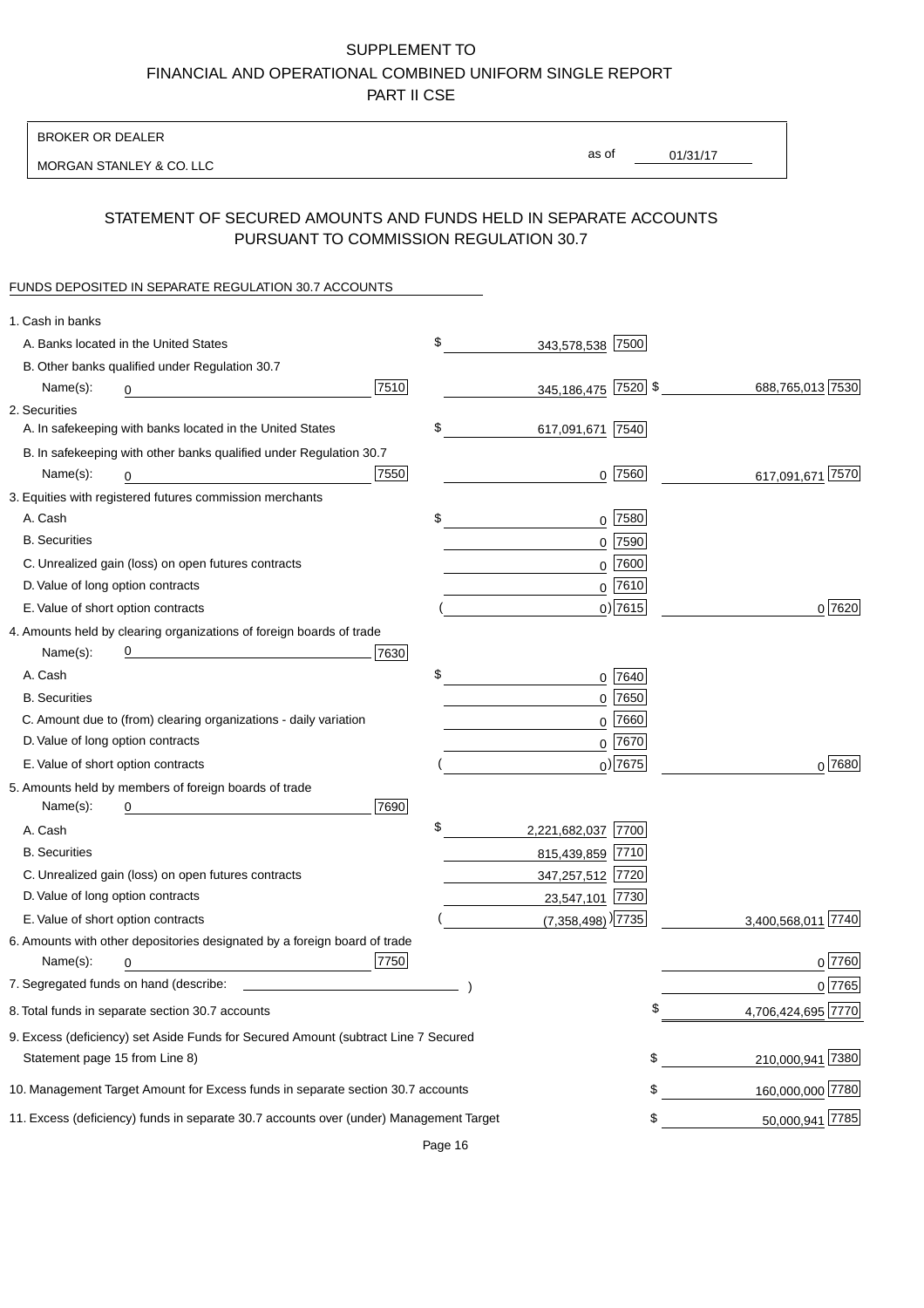BROKER OR DEALER

MORGAN STANLEY & CO. LLC

01/31/17 as of

## STATEMENT OF SECURED AMOUNTS AND FUNDS HELD IN SEPARATE ACCOUNTS PURSUANT TO COMMISSION REGULATION 30.7

#### FUNDS DEPOSITED IN SEPARATE REGULATION 30.7 ACCOUNTS

| 1. Cash in banks                  |                                                                                                                      |      |                                   |             |                    |
|-----------------------------------|----------------------------------------------------------------------------------------------------------------------|------|-----------------------------------|-------------|--------------------|
|                                   | A. Banks located in the United States                                                                                |      | \$<br>343,578,538 7500            |             |                    |
|                                   | B. Other banks qualified under Regulation 30.7                                                                       |      |                                   |             |                    |
| Name(s):                          | 0                                                                                                                    | 7510 | 345,186,475 7520 \$               |             | 688,765,013 7530   |
| 2. Securities                     |                                                                                                                      |      |                                   |             |                    |
|                                   | A. In safekeeping with banks located in the United States                                                            |      | \$<br>617,091,671 7540            |             |                    |
|                                   | B. In safekeeping with other banks qualified under Regulation 30.7                                                   |      |                                   |             |                    |
| Name(s):                          | 0                                                                                                                    | 7550 |                                   | $0$ 7560    | 617,091,671 7570   |
|                                   | 3. Equities with registered futures commission merchants                                                             |      |                                   |             |                    |
| A. Cash                           |                                                                                                                      |      | \$                                | $0$ 7580    |                    |
| <b>B.</b> Securities              |                                                                                                                      |      |                                   | $0$ 7590    |                    |
|                                   | C. Unrealized gain (loss) on open futures contracts                                                                  |      |                                   | $0$ 7600    |                    |
| D. Value of long option contracts |                                                                                                                      |      |                                   | $0$ 7610    |                    |
|                                   | E. Value of short option contracts                                                                                   |      |                                   | $0$ ) 7615  | 0 7620             |
|                                   | 4. Amounts held by clearing organizations of foreign boards of trade                                                 |      |                                   |             |                    |
| Name(s):                          | <u> 1989 - Johann Barn, mars eta bat erroman erroman erroman erroman erroman erroman erroman erroman erroman err</u> | 7630 |                                   |             |                    |
| A. Cash                           |                                                                                                                      |      | \$                                | 0 7640      |                    |
| <b>B.</b> Securities              |                                                                                                                      |      |                                   | $0$ 7650    |                    |
|                                   | C. Amount due to (from) clearing organizations - daily variation                                                     |      |                                   | $0$ 7660    |                    |
| D. Value of long option contracts |                                                                                                                      |      |                                   | $0^{7670}$  |                    |
|                                   | E. Value of short option contracts                                                                                   |      |                                   | $_0$ ) 7675 | 0 7680             |
|                                   | 5. Amounts held by members of foreign boards of trade                                                                |      |                                   |             |                    |
| Name(s):                          | 0                                                                                                                    | 7690 |                                   |             |                    |
| A. Cash                           |                                                                                                                      |      | \$<br>2,221,682,037 7700          |             |                    |
| <b>B.</b> Securities              |                                                                                                                      |      | 815,439,859 7710                  |             |                    |
|                                   | C. Unrealized gain (loss) on open futures contracts                                                                  |      | 347,257,512 7720                  |             |                    |
| D. Value of long option contracts |                                                                                                                      |      | 23,547,101 7730                   |             |                    |
|                                   | E. Value of short option contracts                                                                                   |      | $(7,358,498)$ <sup>)</sup> [7735] |             | 3,400,568,011 7740 |
|                                   | 6. Amounts with other depositories designated by a foreign board of trade                                            |      |                                   |             |                    |
| Name(s):                          | 0                                                                                                                    | 7750 |                                   |             | 0 7760             |
|                                   |                                                                                                                      |      |                                   |             | 0 7765             |
|                                   | 8. Total funds in separate section 30.7 accounts                                                                     |      |                                   | \$          | 4,706,424,695 7770 |
|                                   | 9. Excess (deficiency) set Aside Funds for Secured Amount (subtract Line 7 Secured                                   |      |                                   |             |                    |
| Statement page 15 from Line 8)    |                                                                                                                      |      |                                   | \$          | 210,000,941 7380   |
|                                   | 10. Management Target Amount for Excess funds in separate section 30.7 accounts                                      |      |                                   | \$          | 160,000,000 7780   |
|                                   | 11. Excess (deficiency) funds in separate 30.7 accounts over (under) Management Target                               |      |                                   | \$          | 50,000,941 7785    |
|                                   |                                                                                                                      |      |                                   |             |                    |